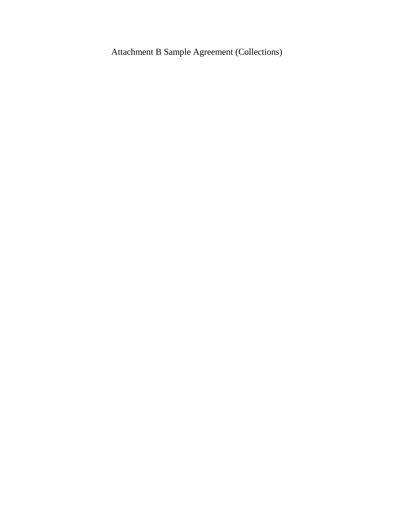Attachment B Sample Agreement (Collections)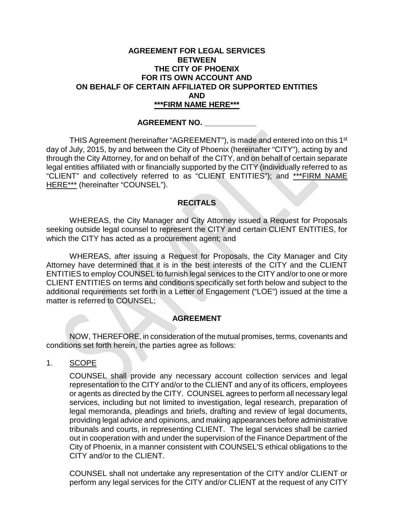#### **AGREEMENT FOR LEGAL SERVICES BETWEEN THE CITY OF PHOENIX FOR ITS OWN ACCOUNT AND ON BEHALF OF CERTAIN AFFILIATED OR SUPPORTED ENTITIES AND \*\*\*FIRM NAME HERE\*\*\***

#### **AGREEMENT NO. \_\_\_\_\_\_\_\_\_\_\_\_**

THIS Agreement (hereinafter "AGREEMENT"), is made and entered into on this 1<sup>st</sup> day of July, 2015, by and between the City of Phoenix (hereinafter "CITY"), acting by and through the City Attorney, for and on behalf of the CITY, and on behalf of certain separate legal entities affiliated with or financially supported by the CITY (individually referred to as "CLIENT" and collectively referred to as "CLIENT ENTITIES"); and \*\*\*FIRM NAME HERE\*\*\* (hereinafter "COUNSEL").

#### **RECITALS**

WHEREAS, the City Manager and City Attorney issued a Request for Proposals seeking outside legal counsel to represent the CITY and certain CLIENT ENTITIES, for which the CITY has acted as a procurement agent; and

WHEREAS, after issuing a Request for Proposals, the City Manager and City Attorney have determined that it is in the best interests of the CITY and the CLIENT ENTITIES to employ COUNSEL to furnish legal services to the CITY and/or to one or more CLIENT ENTITIES on terms and conditions specifically set forth below and subject to the additional requirements set forth in a Letter of Engagement ("LOE") issued at the time a matter is referred to COUNSEL;

## **AGREEMENT**

NOW, THEREFORE, in consideration of the mutual promises, terms, covenants and conditions set forth herein, the parties agree as follows:

1. SCOPE

COUNSEL shall provide any necessary account collection services and legal representation to the CITY and/or to the CLIENT and any of its officers, employees or agents as directed by the CITY. COUNSEL agrees to perform all necessary legal services, including but not limited to investigation, legal research, preparation of legal memoranda, pleadings and briefs, drafting and review of legal documents, providing legal advice and opinions, and making appearances before administrative tribunals and courts, in representing CLIENT. The legal services shall be carried out in cooperation with and under the supervision of the Finance Department of the City of Phoenix, in a manner consistent with COUNSEL'S ethical obligations to the CITY and/or to the CLIENT.

COUNSEL shall not undertake any representation of the CITY and/or CLIENT or perform any legal services for the CITY and/or CLIENT at the request of any CITY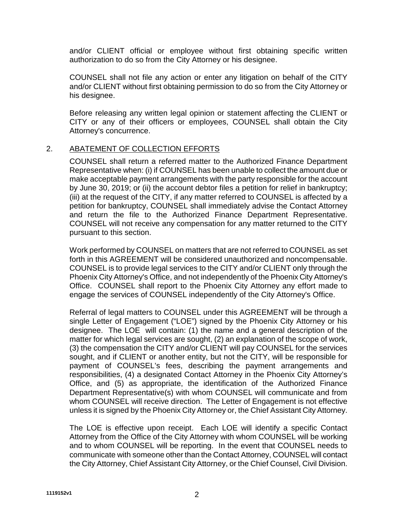and/or CLIENT official or employee without first obtaining specific written authorization to do so from the City Attorney or his designee.

COUNSEL shall not file any action or enter any litigation on behalf of the CITY and/or CLIENT without first obtaining permission to do so from the City Attorney or his designee.

Before releasing any written legal opinion or statement affecting the CLIENT or CITY or any of their officers or employees, COUNSEL shall obtain the City Attorney's concurrence.

## 2. ABATEMENT OF COLLECTION EFFORTS

COUNSEL shall return a referred matter to the Authorized Finance Department Representative when: (i) if COUNSEL has been unable to collect the amount due or make acceptable payment arrangements with the party responsible for the account by June 30, 2019; or (ii) the account debtor files a petition for relief in bankruptcy; (iii) at the request of the CITY, if any matter referred to COUNSEL is affected by a petition for bankruptcy, COUNSEL shall immediately advise the Contact Attorney and return the file to the Authorized Finance Department Representative. COUNSEL will not receive any compensation for any matter returned to the CITY pursuant to this section.

Work performed by COUNSEL on matters that are not referred to COUNSEL as set forth in this AGREEMENT will be considered unauthorized and noncompensable. COUNSEL is to provide legal services to the CITY and/or CLIENT only through the Phoenix City Attorney's Office, and not independently of the Phoenix City Attorney's Office. COUNSEL shall report to the Phoenix City Attorney any effort made to engage the services of COUNSEL independently of the City Attorney's Office.

Referral of legal matters to COUNSEL under this AGREEMENT will be through a single Letter of Engagement ("LOE") signed by the Phoenix City Attorney or his designee. The LOE will contain: (1) the name and a general description of the matter for which legal services are sought, (2) an explanation of the scope of work, (3) the compensation the CITY and/or CLIENT will pay COUNSEL for the services sought, and if CLIENT or another entity, but not the CITY, will be responsible for payment of COUNSEL's fees, describing the payment arrangements and responsibilities, (4) a designated Contact Attorney in the Phoenix City Attorney's Office, and (5) as appropriate, the identification of the Authorized Finance Department Representative(s) with whom COUNSEL will communicate and from whom COUNSEL will receive direction. The Letter of Engagement is not effective unless it is signed by the Phoenix City Attorney or, the Chief Assistant City Attorney.

The LOE is effective upon receipt. Each LOE will identify a specific Contact Attorney from the Office of the City Attorney with whom COUNSEL will be working and to whom COUNSEL will be reporting. In the event that COUNSEL needs to communicate with someone other than the Contact Attorney, COUNSEL will contact the City Attorney, Chief Assistant City Attorney, or the Chief Counsel, Civil Division.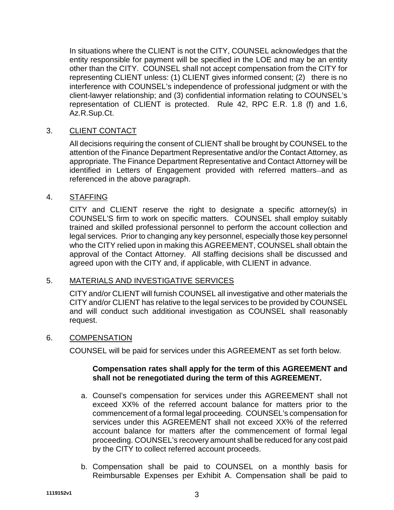In situations where the CLIENT is not the CITY, COUNSEL acknowledges that the entity responsible for payment will be specified in the LOE and may be an entity other than the CITY. COUNSEL shall not accept compensation from the CITY for representing CLIENT unless: (1) CLIENT gives informed consent; (2) there is no interference with COUNSEL's independence of professional judgment or with the client-lawyer relationship; and (3) confidential information relating to COUNSEL's representation of CLIENT is protected. Rule 42, RPC E.R. 1.8 (f) and 1.6, Az.R.Sup.Ct.

## 3. CLIENT CONTACT

All decisions requiring the consent of CLIENT shall be brought by COUNSEL to the attention of the Finance Department Representative and/or the Contact Attorney, as appropriate. The Finance Department Representative and Contact Attorney will be identified in Letters of Engagement provided with referred matters-and as referenced in the above paragraph.

## 4. STAFFING

CITY and CLIENT reserve the right to designate a specific attorney(s) in COUNSEL'S firm to work on specific matters. COUNSEL shall employ suitably trained and skilled professional personnel to perform the account collection and legal services. Prior to changing any key personnel, especially those key personnel who the CITY relied upon in making this AGREEMENT, COUNSEL shall obtain the approval of the Contact Attorney. All staffing decisions shall be discussed and agreed upon with the CITY and, if applicable, with CLIENT in advance.

## 5. MATERIALS AND INVESTIGATIVE SERVICES

CITY and/or CLIENT will furnish COUNSEL all investigative and other materials the CITY and/or CLIENT has relative to the legal services to be provided by COUNSEL and will conduct such additional investigation as COUNSEL shall reasonably request.

## 6. COMPENSATION

COUNSEL will be paid for services under this AGREEMENT as set forth below.

## **Compensation rates shall apply for the term of this AGREEMENT and shall not be renegotiated during the term of this AGREEMENT.**

- a. Counsel's compensation for services under this AGREEMENT shall not exceed XX% of the referred account balance for matters prior to the commencement of a formal legal proceeding. COUNSEL's compensation for services under this AGREEMENT shall not exceed XX% of the referred account balance for matters after the commencement of formal legal proceeding. COUNSEL's recovery amount shall be reduced for any cost paid by the CITY to collect referred account proceeds.
- b. Compensation shall be paid to COUNSEL on a monthly basis for Reimbursable Expenses per Exhibit A. Compensation shall be paid to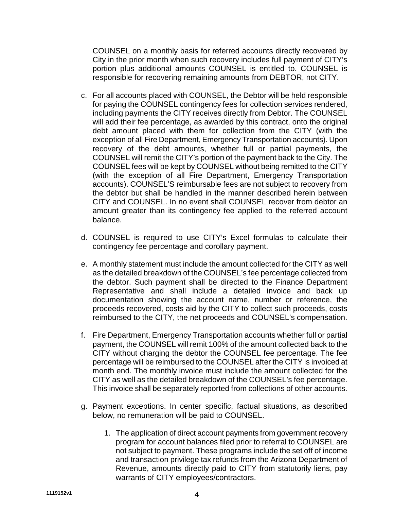COUNSEL on a monthly basis for referred accounts directly recovered by City in the prior month when such recovery includes full payment of CITY's portion plus additional amounts COUNSEL is entitled to. COUNSEL is responsible for recovering remaining amounts from DEBTOR, not CITY.

- c. For all accounts placed with COUNSEL, the Debtor will be held responsible for paying the COUNSEL contingency fees for collection services rendered, including payments the CITY receives directly from Debtor. The COUNSEL will add their fee percentage, as awarded by this contract, onto the original debt amount placed with them for collection from the CITY (with the exception of all Fire Department, Emergency Transportation accounts). Upon recovery of the debt amounts, whether full or partial payments, the COUNSEL will remit the CITY's portion of the payment back to the City. The COUNSEL fees will be kept by COUNSEL without being remitted to the CITY (with the exception of all Fire Department, Emergency Transportation accounts). COUNSEL'S reimbursable fees are not subject to recovery from the debtor but shall be handled in the manner described herein between CITY and COUNSEL. In no event shall COUNSEL recover from debtor an amount greater than its contingency fee applied to the referred account balance.
- d. COUNSEL is required to use CITY's Excel formulas to calculate their contingency fee percentage and corollary payment.
- e. A monthly statement must include the amount collected for the CITY as well as the detailed breakdown of the COUNSEL's fee percentage collected from the debtor. Such payment shall be directed to the Finance Department Representative and shall include a detailed invoice and back up documentation showing the account name, number or reference, the proceeds recovered, costs aid by the CITY to collect such proceeds, costs reimbursed to the CITY, the net proceeds and COUNSEL's compensation.
- f. Fire Department, Emergency Transportation accounts whether full or partial payment, the COUNSEL will remit 100% of the amount collected back to the CITY without charging the debtor the COUNSEL fee percentage. The fee percentage will be reimbursed to the COUNSEL after the CITY is invoiced at month end. The monthly invoice must include the amount collected for the CITY as well as the detailed breakdown of the COUNSEL's fee percentage. This invoice shall be separately reported from collections of other accounts.
- g. Payment exceptions. In center specific, factual situations, as described below, no remuneration will be paid to COUNSEL.
	- 1. The application of direct account payments from government recovery program for account balances filed prior to referral to COUNSEL are not subject to payment. These programs include the set off of income and transaction privilege tax refunds from the Arizona Department of Revenue, amounts directly paid to CITY from statutorily liens, pay warrants of CITY employees/contractors.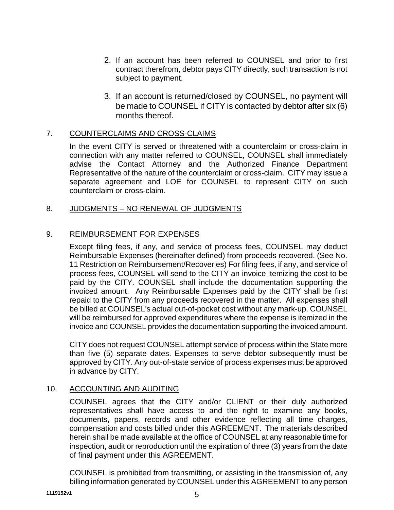- 2. If an account has been referred to COUNSEL and prior to first contract therefrom, debtor pays CITY directly, such transaction is not subject to payment.
- 3. If an account is returned/closed by COUNSEL, no payment will be made to COUNSEL if CITY is contacted by debtor after six (6) months thereof.

## 7. COUNTERCLAIMS AND CROSS-CLAIMS

In the event CITY is served or threatened with a counterclaim or cross-claim in connection with any matter referred to COUNSEL, COUNSEL shall immediately advise the Contact Attorney and the Authorized Finance Department Representative of the nature of the counterclaim or cross-claim. CITY may issue a separate agreement and LOE for COUNSEL to represent CITY on such counterclaim or cross-claim.

## 8. JUDGMENTS – NO RENEWAL OF JUDGMENTS

## 9. REIMBURSEMENT FOR EXPENSES

Except filing fees, if any, and service of process fees, COUNSEL may deduct Reimbursable Expenses (hereinafter defined) from proceeds recovered. (See No. 11 Restriction on Reimbursement/Recoveries) For filing fees, if any, and service of process fees, COUNSEL will send to the CITY an invoice itemizing the cost to be paid by the CITY. COUNSEL shall include the documentation supporting the invoiced amount. Any Reimbursable Expenses paid by the CITY shall be first repaid to the CITY from any proceeds recovered in the matter. All expenses shall be billed at COUNSEL's actual out-of-pocket cost without any mark-up. COUNSEL will be reimbursed for approved expenditures where the expense is itemized in the invoice and COUNSEL provides the documentation supporting the invoiced amount.

CITY does not request COUNSEL attempt service of process within the State more than five (5) separate dates. Expenses to serve debtor subsequently must be approved by CITY. Any out-of-state service of process expenses must be approved in advance by CITY.

## 10. ACCOUNTING AND AUDITING

COUNSEL agrees that the CITY and/or CLIENT or their duly authorized representatives shall have access to and the right to examine any books, documents, papers, records and other evidence reflecting all time charges, compensation and costs billed under this AGREEMENT. The materials described herein shall be made available at the office of COUNSEL at any reasonable time for inspection, audit or reproduction until the expiration of three (3) years from the date of final payment under this AGREEMENT.

COUNSEL is prohibited from transmitting, or assisting in the transmission of, any billing information generated by COUNSEL under this AGREEMENT to any person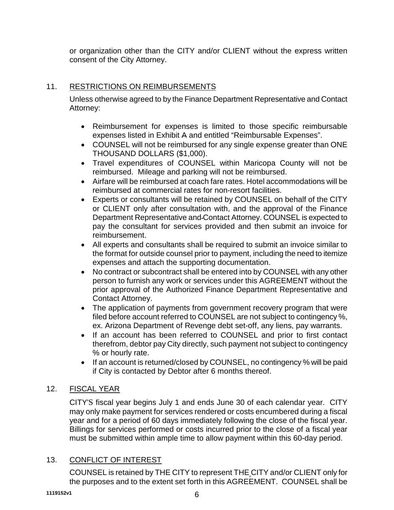or organization other than the CITY and/or CLIENT without the express written consent of the City Attorney.

# 11. RESTRICTIONS ON REIMBURSEMENTS

Unless otherwise agreed to by the Finance Department Representative and Contact Attorney:

- Reimbursement for expenses is limited to those specific reimbursable expenses listed in Exhibit A and entitled "Reimbursable Expenses".
- COUNSEL will not be reimbursed for any single expense greater than ONE THOUSAND DOLLARS (\$1,000).
- Travel expenditures of COUNSEL within Maricopa County will not be reimbursed. Mileage and parking will not be reimbursed.
- Airfare will be reimbursed at coach fare rates. Hotel accommodations will be reimbursed at commercial rates for non-resort facilities.
- Experts or consultants will be retained by COUNSEL on behalf of the CITY or CLIENT only after consultation with, and the approval of the Finance Department Representative and Contact Attorney. COUNSEL is expected to pay the consultant for services provided and then submit an invoice for reimbursement.
- All experts and consultants shall be required to submit an invoice similar to the format for outside counsel prior to payment, including the need to itemize expenses and attach the supporting documentation.
- No contract or subcontract shall be entered into by COUNSEL with any other person to furnish any work or services under this AGREEMENT without the prior approval of the Authorized Finance Department Representative and Contact Attorney.
- The application of payments from government recovery program that were filed before account referred to COUNSEL are not subject to contingency %, ex. Arizona Department of Revenge debt set-off, any liens, pay warrants.
- If an account has been referred to COUNSEL and prior to first contact therefrom, debtor pay City directly, such payment not subject to contingency % or hourly rate.
- If an account is returned/closed by COUNSEL, no contingency % will be paid if City is contacted by Debtor after 6 months thereof.

# 12. FISCAL YEAR

CITY'S fiscal year begins July 1 and ends June 30 of each calendar year. CITY may only make payment for services rendered or costs encumbered during a fiscal year and for a period of 60 days immediately following the close of the fiscal year. Billings for services performed or costs incurred prior to the close of a fiscal year must be submitted within ample time to allow payment within this 60-day period.

# 13. CONFLICT OF INTEREST

COUNSEL is retained by THE CITY to represent THE CITY and/or CLIENT only for the purposes and to the extent set forth in this AGREEMENT. COUNSEL shall be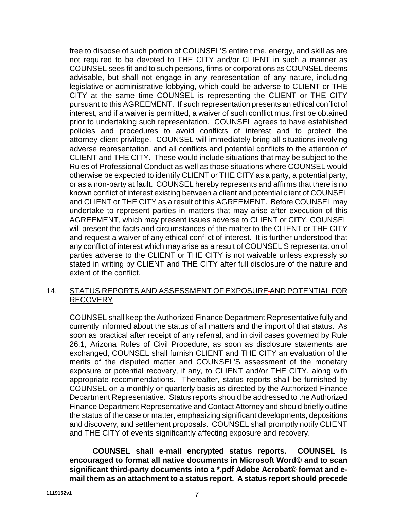free to dispose of such portion of COUNSEL'S entire time, energy, and skill as are not required to be devoted to THE CITY and/or CLIENT in such a manner as COUNSEL sees fit and to such persons, firms or corporations as COUNSEL deems advisable, but shall not engage in any representation of any nature, including legislative or administrative lobbying, which could be adverse to CLIENT or THE CITY at the same time COUNSEL is representing the CLIENT or THE CITY pursuant to this AGREEMENT. If such representation presents an ethical conflict of interest, and if a waiver is permitted, a waiver of such conflict must first be obtained prior to undertaking such representation. COUNSEL agrees to have established policies and procedures to avoid conflicts of interest and to protect the attorney-client privilege. COUNSEL will immediately bring all situations involving adverse representation, and all conflicts and potential conflicts to the attention of CLIENT and THE CITY. These would include situations that may be subject to the Rules of Professional Conduct as well as those situations where COUNSEL would otherwise be expected to identify CLIENT or THE CITY as a party, a potential party, or as a non-party at fault. COUNSEL hereby represents and affirms that there is no known conflict of interest existing between a client and potential client of COUNSEL and CLIENT or THE CITY as a result of this AGREEMENT. Before COUNSEL may undertake to represent parties in matters that may arise after execution of this AGREEMENT, which may present issues adverse to CLIENT or CITY, COUNSEL will present the facts and circumstances of the matter to the CLIENT or THE CITY and request a waiver of any ethical conflict of interest. It is further understood that any conflict of interest which may arise as a result of COUNSEL'S representation of parties adverse to the CLIENT or THE CITY is not waivable unless expressly so stated in writing by CLIENT and THE CITY after full disclosure of the nature and extent of the conflict.

## 14. STATUS REPORTS AND ASSESSMENT OF EXPOSURE AND POTENTIAL FOR RECOVERY

COUNSEL shall keep the Authorized Finance Department Representative fully and currently informed about the status of all matters and the import of that status. As soon as practical after receipt of any referral, and in civil cases governed by Rule 26.1, Arizona Rules of Civil Procedure, as soon as disclosure statements are exchanged, COUNSEL shall furnish CLIENT and THE CITY an evaluation of the merits of the disputed matter and COUNSEL'S assessment of the monetary exposure or potential recovery, if any, to CLIENT and/or THE CITY, along with appropriate recommendations. Thereafter, status reports shall be furnished by COUNSEL on a monthly or quarterly basis as directed by the Authorized Finance Department Representative*.* Status reports should be addressed to the Authorized Finance Department Representative and Contact Attorney and should briefly outline the status of the case or matter, emphasizing significant developments, depositions and discovery, and settlement proposals. COUNSEL shall promptly notify CLIENT and THE CITY of events significantly affecting exposure and recovery.

**COUNSEL shall e-mail encrypted status reports. COUNSEL is encouraged to format all native documents in Microsoft Word© and to scan significant third-party documents into a \*.pdf Adobe Acrobat© format and email them as an attachment to a status report. A status report should precede**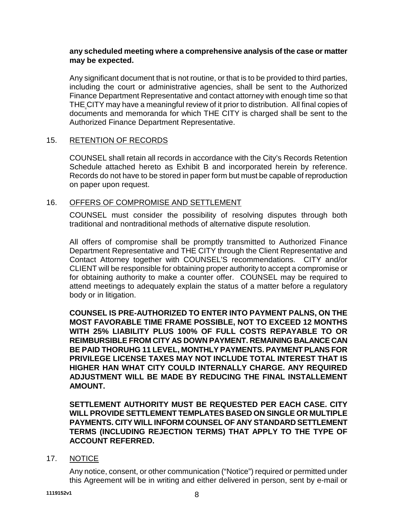## **any scheduled meeting where a comprehensive analysis of the case or matter may be expected.**

Any significant document that is not routine, or that is to be provided to third parties, including the court or administrative agencies, shall be sent to the Authorized Finance Department Representative and contact attorney with enough time so that THE CITY may have a meaningful review of it prior to distribution. All final copies of documents and memoranda for which THE CITY is charged shall be sent to the Authorized Finance Department Representative.

#### 15. RETENTION OF RECORDS

COUNSEL shall retain all records in accordance with the City's Records Retention Schedule attached hereto as Exhibit B and incorporated herein by reference. Records do not have to be stored in paper form but must be capable of reproduction on paper upon request.

#### 16. OFFERS OF COMPROMISE AND SETTLEMENT

COUNSEL must consider the possibility of resolving disputes through both traditional and nontraditional methods of alternative dispute resolution.

All offers of compromise shall be promptly transmitted to Authorized Finance Department Representative and THE CITY through the Client Representative and Contact Attorney together with COUNSEL'S recommendations. CITY and/or CLIENT will be responsible for obtaining proper authority to accept a compromise or for obtaining authority to make a counter offer. COUNSEL may be required to attend meetings to adequately explain the status of a matter before a regulatory body or in litigation.

**COUNSEL IS PRE-AUTHORIZED TO ENTER INTO PAYMENT PALNS, ON THE MOST FAVORABLE TIME FRAME POSSIBLE, NOT TO EXCEED 12 MONTHS WITH 25% LIABILITY PLUS 100% OF FULL COSTS REPAYABLE TO OR REIMBURSIBLE FROM CITY AS DOWN PAYMENT. REMAINING BALANCE CAN BE PAID THORUHG 11 LEVEL, MONTHLY PAYMENTS. PAYMENT PLANS FOR PRIVILEGE LICENSE TAXES MAY NOT INCLUDE TOTAL INTEREST THAT IS HIGHER HAN WHAT CITY COULD INTERNALLY CHARGE. ANY REQUIRED ADJUSTMENT WILL BE MADE BY REDUCING THE FINAL INSTALLEMENT AMOUNT.**

**SETTLEMENT AUTHORITY MUST BE REQUESTED PER EACH CASE. CITY WILL PROVIDE SETTLEMENT TEMPLATES BASED ON SINGLE OR MULTIPLE PAYMENTS. CITY WILL INFORM COUNSEL OF ANY STANDARD SETTLEMENT TERMS (INCLUDING REJECTION TERMS) THAT APPLY TO THE TYPE OF ACCOUNT REFERRED.**

#### 17. NOTICE

Any notice, consent, or other communication ("Notice") required or permitted under this Agreement will be in writing and either delivered in person, sent by e-mail or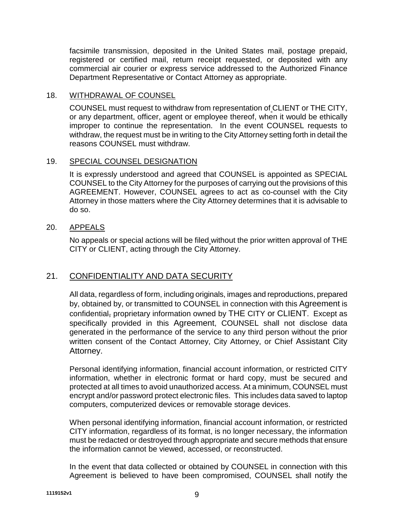facsimile transmission, deposited in the United States mail, postage prepaid, registered or certified mail, return receipt requested, or deposited with any commercial air courier or express service addressed to the Authorized Finance Department Representative or Contact Attorney as appropriate.

# 18. WITHDRAWAL OF COUNSEL

COUNSEL must request to withdraw from representation of CLIENT or THE CITY, or any department, officer, agent or employee thereof, when it would be ethically improper to continue the representation. In the event COUNSEL requests to withdraw, the request must be in writing to the City Attorney setting forth in detail the reasons COUNSEL must withdraw.

## 19. SPECIAL COUNSEL DESIGNATION

It is expressly understood and agreed that COUNSEL is appointed as SPECIAL COUNSEL to the City Attorney for the purposes of carrying out the provisions of this AGREEMENT. However, COUNSEL agrees to act as co-counsel with the City Attorney in those matters where the City Attorney determines that it is advisable to do so.

## 20. APPEALS

No appeals or special actions will be filed without the prior written approval of THE CITY or CLIENT, acting through the City Attorney.

# 21. CONFIDENTIALITY AND DATA SECURITY

All data, regardless of form, including originals, images and reproductions, prepared by, obtained by, or transmitted to COUNSEL in connection with this Agreement is confidential, proprietary information owned by THE CITY or CLIENT. Except as specifically provided in this Agreement, COUNSEL shall not disclose data generated in the performance of the service to any third person without the prior written consent of the Contact Attorney, City Attorney, or Chief Assistant City Attorney.

Personal identifying information, financial account information, or restricted CITY information, whether in electronic format or hard copy, must be secured and protected at all times to avoid unauthorized access. At a minimum, COUNSEL must encrypt and/or password protect electronic files. This includes data saved to laptop computers, computerized devices or removable storage devices.

When personal identifying information, financial account information, or restricted CITY information, regardless of its format, is no longer necessary, the information must be redacted or destroyed through appropriate and secure methods that ensure the information cannot be viewed, accessed, or reconstructed.

In the event that data collected or obtained by COUNSEL in connection with this Agreement is believed to have been compromised, COUNSEL shall notify the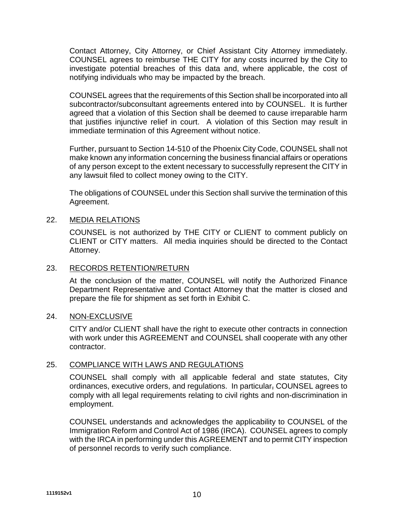Contact Attorney, City Attorney, or Chief Assistant City Attorney immediately. COUNSEL agrees to reimburse THE CITY for any costs incurred by the City to investigate potential breaches of this data and, where applicable, the cost of notifying individuals who may be impacted by the breach.

COUNSEL agrees that the requirements of this Section shall be incorporated into all subcontractor/subconsultant agreements entered into by COUNSEL. It is further agreed that a violation of this Section shall be deemed to cause irreparable harm that justifies injunctive relief in court. A violation of this Section may result in immediate termination of this Agreement without notice.

Further, pursuant to Section 14-510 of the Phoenix City Code, COUNSEL shall not make known any information concerning the business financial affairs or operations of any person except to the extent necessary to successfully represent the CITY in any lawsuit filed to collect money owing to the CITY.

The obligations of COUNSEL under this Section shall survive the termination of this Agreement.

## 22. MEDIA RELATIONS

COUNSEL is not authorized by THE CITY or CLIENT to comment publicly on CLIENT or CITY matters. All media inquiries should be directed to the Contact Attorney.

## 23. RECORDS RETENTION/RETURN

At the conclusion of the matter, COUNSEL will notify the Authorized Finance Department Representative and Contact Attorney that the matter is closed and prepare the file for shipment as set forth in Exhibit C.

## 24. NON-EXCLUSIVE

CITY and/or CLIENT shall have the right to execute other contracts in connection with work under this AGREEMENT and COUNSEL shall cooperate with any other contractor.

## 25. COMPLIANCE WITH LAWS AND REGULATIONS

COUNSEL shall comply with all applicable federal and state statutes, City ordinances, executive orders, and regulations. In particular, COUNSEL agrees to comply with all legal requirements relating to civil rights and non-discrimination in employment.

COUNSEL understands and acknowledges the applicability to COUNSEL of the Immigration Reform and Control Act of 1986 (IRCA). COUNSEL agrees to comply with the IRCA in performing under this AGREEMENT and to permit CITY inspection of personnel records to verify such compliance.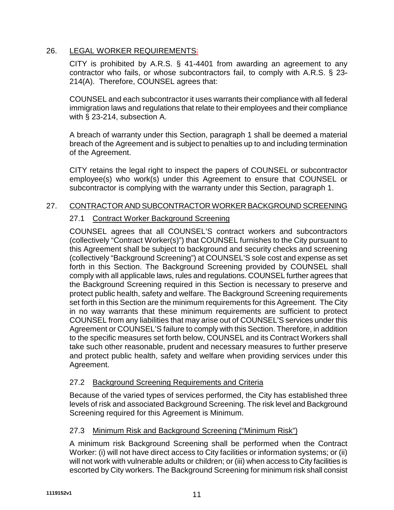# 26. LEGAL WORKER REQUIREMENTS:

CITY is prohibited by A.R.S. § 41-4401 from awarding an agreement to any contractor who fails, or whose subcontractors fail, to comply with A.R.S. § 23- 214(A). Therefore, COUNSEL agrees that:

COUNSEL and each subcontractor it uses warrants their compliance with all federal immigration laws and regulations that relate to their employees and their compliance with § 23-214, subsection A.

A breach of warranty under this Section, paragraph 1 shall be deemed a material breach of the Agreement and is subject to penalties up to and including termination of the Agreement.

CITY retains the legal right to inspect the papers of COUNSEL or subcontractor employee(s) who work(s) under this Agreement to ensure that COUNSEL or subcontractor is complying with the warranty under this Section, paragraph 1.

## 27. CONTRACTOR AND SUBCONTRACTOR WORKER BACKGROUND SCREENING

# 27.1 Contract Worker Background Screening

COUNSEL agrees that all COUNSEL'S contract workers and subcontractors (collectively "Contract Worker(s)") that COUNSEL furnishes to the City pursuant to this Agreement shall be subject to background and security checks and screening (collectively "Background Screening") at COUNSEL'S sole cost and expense as set forth in this Section. The Background Screening provided by COUNSEL shall comply with all applicable laws, rules and regulations. COUNSEL further agrees that the Background Screening required in this Section is necessary to preserve and protect public health, safety and welfare. The Background Screening requirements set forth in this Section are the minimum requirements for this Agreement. The City in no way warrants that these minimum requirements are sufficient to protect COUNSEL from any liabilities that may arise out of COUNSEL'S services under this Agreement or COUNSEL'S failure to comply with this Section. Therefore, in addition to the specific measures set forth below, COUNSEL and its Contract Workers shall take such other reasonable, prudent and necessary measures to further preserve and protect public health, safety and welfare when providing services under this Agreement.

# 27.2 Background Screening Requirements and Criteria

Because of the varied types of services performed, the City has established three levels of risk and associated Background Screening. The risk level and Background Screening required for this Agreement is Minimum.

## 27.3 Minimum Risk and Background Screening ("Minimum Risk")

A minimum risk Background Screening shall be performed when the Contract Worker: (i) will not have direct access to City facilities or information systems; or (ii) will not work with vulnerable adults or children; or (iii) when access to City facilities is escorted by City workers. The Background Screening for minimum risk shall consist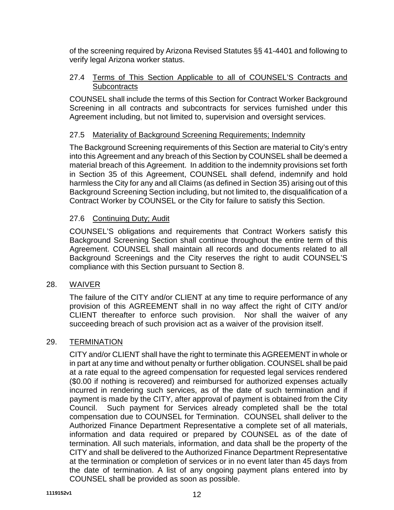of the screening required by Arizona Revised Statutes §§ 41-4401 and following to verify legal Arizona worker status.

## 27.4 Terms of This Section Applicable to all of COUNSEL'S Contracts and **Subcontracts**

COUNSEL shall include the terms of this Section for Contract Worker Background Screening in all contracts and subcontracts for services furnished under this Agreement including, but not limited to, supervision and oversight services.

## 27.5 Materiality of Background Screening Requirements; Indemnity

The Background Screening requirements of this Section are material to City's entry into this Agreement and any breach of this Section by COUNSEL shall be deemed a material breach of this Agreement. In addition to the indemnity provisions set forth in Section 35 of this Agreement, COUNSEL shall defend, indemnify and hold harmless the City for any and all Claims (as defined in Section 35) arising out of this Background Screening Section including, but not limited to, the disqualification of a Contract Worker by COUNSEL or the City for failure to satisfy this Section.

## 27.6 Continuing Duty; Audit

COUNSEL'S obligations and requirements that Contract Workers satisfy this Background Screening Section shall continue throughout the entire term of this Agreement. COUNSEL shall maintain all records and documents related to all Background Screenings and the City reserves the right to audit COUNSEL'S compliance with this Section pursuant to Section 8.

## 28. WAIVER

The failure of the CITY and/or CLIENT at any time to require performance of any provision of this AGREEMENT shall in no way affect the right of CITY and/or CLIENT thereafter to enforce such provision. Nor shall the waiver of any succeeding breach of such provision act as a waiver of the provision itself.

## 29. TERMINATION

CITY and/or CLIENT shall have the right to terminate this AGREEMENT in whole or in part at any time and without penalty or further obligation. COUNSEL shall be paid at a rate equal to the agreed compensation for requested legal services rendered (\$0.00 if nothing is recovered) and reimbursed for authorized expenses actually incurred in rendering such services, as of the date of such termination and if payment is made by the CITY, after approval of payment is obtained from the City Council. Such payment for Services already completed shall be the total compensation due to COUNSEL for Termination. COUNSEL shall deliver to the Authorized Finance Department Representative a complete set of all materials, information and data required or prepared by COUNSEL as of the date of termination. All such materials, information, and data shall be the property of the CITY and shall be delivered to the Authorized Finance Department Representative at the termination or completion of services or in no event later than 45 days from the date of termination. A list of any ongoing payment plans entered into by COUNSEL shall be provided as soon as possible.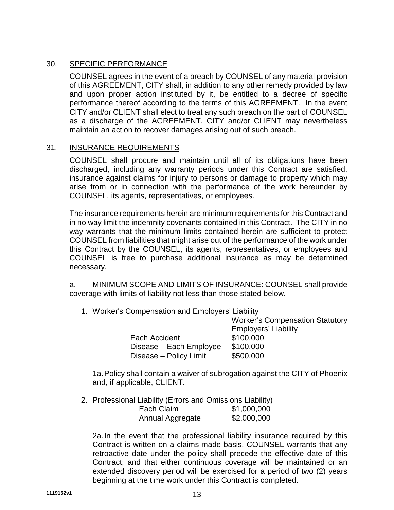# 30. SPECIFIC PERFORMANCE

COUNSEL agrees in the event of a breach by COUNSEL of any material provision of this AGREEMENT, CITY shall, in addition to any other remedy provided by law and upon proper action instituted by it, be entitled to a decree of specific performance thereof according to the terms of this AGREEMENT. In the event CITY and/or CLIENT shall elect to treat any such breach on the part of COUNSEL as a discharge of the AGREEMENT, CITY and/or CLIENT may nevertheless maintain an action to recover damages arising out of such breach.

#### 31. INSURANCE REQUIREMENTS

COUNSEL shall procure and maintain until all of its obligations have been discharged, including any warranty periods under this Contract are satisfied, insurance against claims for injury to persons or damage to property which may arise from or in connection with the performance of the work hereunder by COUNSEL, its agents, representatives, or employees.

The insurance requirements herein are minimum requirements for this Contract and in no way limit the indemnity covenants contained in this Contract. The CITY in no way warrants that the minimum limits contained herein are sufficient to protect COUNSEL from liabilities that might arise out of the performance of the work under this Contract by the COUNSEL, its agents, representatives, or employees and COUNSEL is free to purchase additional insurance as may be determined necessary.

a. MINIMUM SCOPE AND LIMITS OF INSURANCE: COUNSEL shall provide coverage with limits of liability not less than those stated below.

1. Worker's Compensation and Employers' Liability

|                         | <b>Worker's Compensation Statutory</b> |
|-------------------------|----------------------------------------|
|                         | <b>Employers' Liability</b>            |
| Each Accident           | \$100,000                              |
| Disease - Each Employee | \$100,000                              |
| Disease – Policy Limit  | \$500,000                              |

1a.Policy shall contain a waiver of subrogation against the CITY of Phoenix and, if applicable, CLIENT.

2. Professional Liability (Errors and Omissions Liability) Each Claim \$1,000,000 Annual Aggregate \$2,000,000

2a.In the event that the professional liability insurance required by this Contract is written on a claims-made basis, COUNSEL warrants that any retroactive date under the policy shall precede the effective date of this Contract; and that either continuous coverage will be maintained or an extended discovery period will be exercised for a period of two (2) years beginning at the time work under this Contract is completed.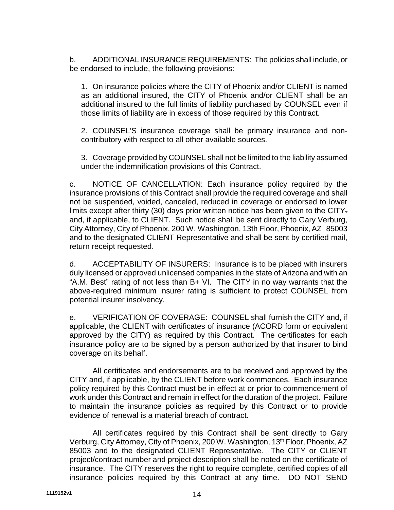b. ADDITIONAL INSURANCE REQUIREMENTS: The policies shall include, or be endorsed to include, the following provisions:

1. On insurance policies where the CITY of Phoenix and/or CLIENT is named as an additional insured, the CITY of Phoenix and/or CLIENT shall be an additional insured to the full limits of liability purchased by COUNSEL even if those limits of liability are in excess of those required by this Contract.

2. COUNSEL'S insurance coverage shall be primary insurance and noncontributory with respect to all other available sources.

3. Coverage provided by COUNSEL shall not be limited to the liability assumed under the indemnification provisions of this Contract.

c. NOTICE OF CANCELLATION: Each insurance policy required by the insurance provisions of this Contract shall provide the required coverage and shall not be suspended, voided, canceled, reduced in coverage or endorsed to lower limits except after thirty (30) days prior written notice has been given to the CITY. and, if applicable, to CLIENT. Such notice shall be sent directly to Gary Verburg, City Attorney, City of Phoenix, 200 W. Washington, 13th Floor, Phoenix, AZ 85003 and to the designated CLIENT Representative and shall be sent by certified mail, return receipt requested.

d. ACCEPTABILITY OF INSURERS: Insurance is to be placed with insurers duly licensed or approved unlicensed companies in the state of Arizona and with an "A.M. Best" rating of not less than B+ VI. The CITY in no way warrants that the above-required minimum insurer rating is sufficient to protect COUNSEL from potential insurer insolvency.

e. VERIFICATION OF COVERAGE: COUNSEL shall furnish the CITY and, if applicable, the CLIENT with certificates of insurance (ACORD form or equivalent approved by the CITY) as required by this Contract. The certificates for each insurance policy are to be signed by a person authorized by that insurer to bind coverage on its behalf.

All certificates and endorsements are to be received and approved by the CITY and, if applicable, by the CLIENT before work commences. Each insurance policy required by this Contract must be in effect at or prior to commencement of work under this Contract and remain in effect for the duration of the project. Failure to maintain the insurance policies as required by this Contract or to provide evidence of renewal is a material breach of contract.

All certificates required by this Contract shall be sent directly to Gary Verburg, City Attorney, City of Phoenix, 200 W. Washington, 13<sup>th</sup> Floor, Phoenix, AZ 85003 and to the designated CLIENT Representative. The CITY or CLIENT project/contract number and project description shall be noted on the certificate of insurance. The CITY reserves the right to require complete, certified copies of all insurance policies required by this Contract at any time. DO NOT SEND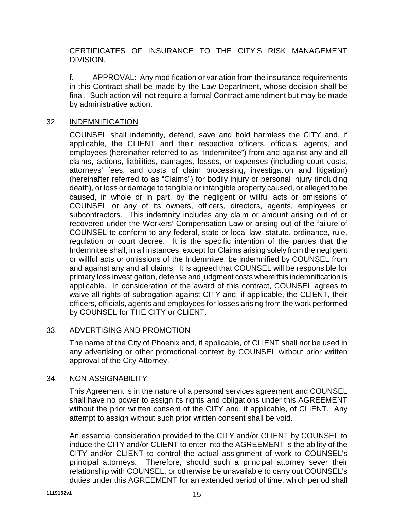CERTIFICATES OF INSURANCE TO THE CITY'S RISK MANAGEMENT DIVISION.

f. APPROVAL: Any modification or variation from the insurance requirements in this Contract shall be made by the Law Department, whose decision shall be final. Such action will not require a formal Contract amendment but may be made by administrative action.

## 32. INDEMNIFICATION

COUNSEL shall indemnify, defend, save and hold harmless the CITY and, if applicable, the CLIENT and their respective officers, officials, agents, and employees (hereinafter referred to as "Indemnitee") from and against any and all claims, actions, liabilities, damages, losses, or expenses (including court costs, attorneys' fees, and costs of claim processing, investigation and litigation) (hereinafter referred to as "Claims") for bodily injury or personal injury (including death), or loss or damage to tangible or intangible property caused, or alleged to be caused, in whole or in part, by the negligent or willful acts or omissions of COUNSEL or any of its owners, officers, directors, agents, employees or subcontractors. This indemnity includes any claim or amount arising out of or recovered under the Workers' Compensation Law or arising out of the failure of COUNSEL to conform to any federal, state or local law, statute, ordinance, rule, regulation or court decree. It is the specific intention of the parties that the Indemnitee shall, in all instances, except for Claims arising solely from the negligent or willful acts or omissions of the Indemnitee, be indemnified by COUNSEL from and against any and all claims. It is agreed that COUNSEL will be responsible for primary loss investigation, defense and judgment costs where this indemnification is applicable. In consideration of the award of this contract, COUNSEL agrees to waive all rights of subrogation against CITY and, if applicable, the CLIENT, their officers, officials, agents and employees for losses arising from the work performed by COUNSEL for THE CITY or CLIENT.

## 33. ADVERTISING AND PROMOTION

The name of the City of Phoenix and, if applicable, of CLIENT shall not be used in any advertising or other promotional context by COUNSEL without prior written approval of the City Attorney.

# 34. NON-ASSIGNABILITY

This Agreement is in the nature of a personal services agreement and COUNSEL shall have no power to assign its rights and obligations under this AGREEMENT without the prior written consent of the CITY and, if applicable, of CLIENT. Any attempt to assign without such prior written consent shall be void.

An essential consideration provided to the CITY and/or CLIENT by COUNSEL to induce the CITY and/or CLIENT to enter into the AGREEMENT is the ability of the CITY and/or CLIENT to control the actual assignment of work to COUNSEL's principal attorneys. Therefore, should such a principal attorney sever their relationship with COUNSEL, or otherwise be unavailable to carry out COUNSEL's duties under this AGREEMENT for an extended period of time, which period shall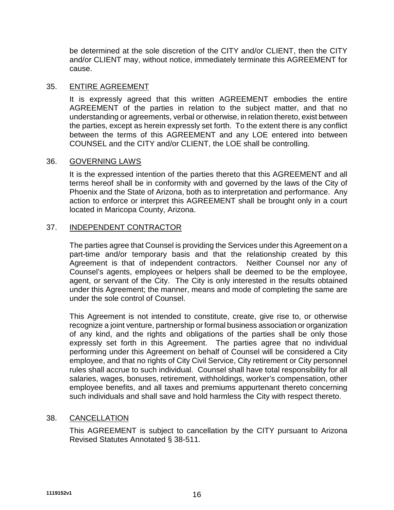be determined at the sole discretion of the CITY and/or CLIENT, then the CITY and/or CLIENT may, without notice, immediately terminate this AGREEMENT for cause.

#### 35. ENTIRE AGREEMENT

It is expressly agreed that this written AGREEMENT embodies the entire AGREEMENT of the parties in relation to the subject matter, and that no understanding or agreements, verbal or otherwise, in relation thereto, exist between the parties, except as herein expressly set forth. To the extent there is any conflict between the terms of this AGREEMENT and any LOE entered into between COUNSEL and the CITY and/or CLIENT, the LOE shall be controlling.

#### 36. GOVERNING LAWS

It is the expressed intention of the parties thereto that this AGREEMENT and all terms hereof shall be in conformity with and governed by the laws of the City of Phoenix and the State of Arizona, both as to interpretation and performance. Any action to enforce or interpret this AGREEMENT shall be brought only in a court located in Maricopa County, Arizona.

## 37. INDEPENDENT CONTRACTOR

The parties agree that Counsel is providing the Services under this Agreement on a part-time and/or temporary basis and that the relationship created by this Agreement is that of independent contractors. Neither Counsel nor any of Counsel's agents, employees or helpers shall be deemed to be the employee, agent, or servant of the City. The City is only interested in the results obtained under this Agreement; the manner, means and mode of completing the same are under the sole control of Counsel.

This Agreement is not intended to constitute, create, give rise to, or otherwise recognize a joint venture, partnership or formal business association or organization of any kind, and the rights and obligations of the parties shall be only those expressly set forth in this Agreement. The parties agree that no individual performing under this Agreement on behalf of Counsel will be considered a City employee, and that no rights of City Civil Service, City retirement or City personnel rules shall accrue to such individual. Counsel shall have total responsibility for all salaries, wages, bonuses, retirement, withholdings, worker's compensation, other employee benefits, and all taxes and premiums appurtenant thereto concerning such individuals and shall save and hold harmless the City with respect thereto.

## 38. CANCELLATION

This AGREEMENT is subject to cancellation by the CITY pursuant to Arizona Revised Statutes Annotated § 38-511.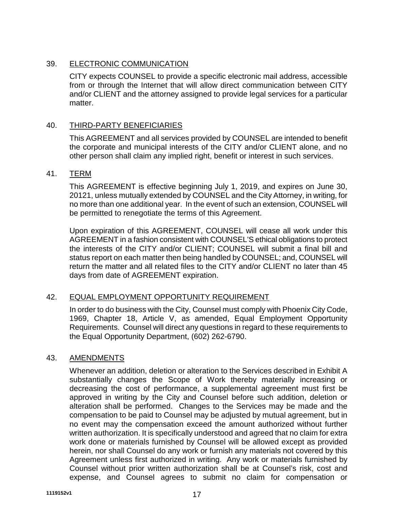# 39. ELECTRONIC COMMUNICATION

CITY expects COUNSEL to provide a specific electronic mail address, accessible from or through the Internet that will allow direct communication between CITY and/or CLIENT and the attorney assigned to provide legal services for a particular matter.

## 40. THIRD-PARTY BENEFICIARIES

This AGREEMENT and all services provided by COUNSEL are intended to benefit the corporate and municipal interests of the CITY and/or CLIENT alone, and no other person shall claim any implied right, benefit or interest in such services.

## 41. TERM

This AGREEMENT is effective beginning July 1, 2019, and expires on June 30, 20121, unless mutually extended by COUNSEL and the City Attorney, in writing, for no more than one additional year. In the event of such an extension, COUNSEL will be permitted to renegotiate the terms of this Agreement.

Upon expiration of this AGREEMENT, COUNSEL will cease all work under this AGREEMENT in a fashion consistent with COUNSEL'S ethical obligations to protect the interests of the CITY and/or CLIENT; COUNSEL will submit a final bill and status report on each matter then being handled by COUNSEL; and, COUNSEL will return the matter and all related files to the CITY and/or CLIENT no later than 45 days from date of AGREEMENT expiration.

# 42. EQUAL EMPLOYMENT OPPORTUNITY REQUIREMENT

In order to do business with the City, Counsel must comply with Phoenix City Code, 1969, Chapter 18, Article V, as amended, Equal Employment Opportunity Requirements. Counsel will direct any questions in regard to these requirements to the Equal Opportunity Department, (602) 262-6790.

## 43. AMENDMENTS

Whenever an addition, deletion or alteration to the Services described in Exhibit A substantially changes the Scope of Work thereby materially increasing or decreasing the cost of performance, a supplemental agreement must first be approved in writing by the City and Counsel before such addition, deletion or alteration shall be performed. Changes to the Services may be made and the compensation to be paid to Counsel may be adjusted by mutual agreement, but in no event may the compensation exceed the amount authorized without further written authorization. It is specifically understood and agreed that no claim for extra work done or materials furnished by Counsel will be allowed except as provided herein, nor shall Counsel do any work or furnish any materials not covered by this Agreement unless first authorized in writing. Any work or materials furnished by Counsel without prior written authorization shall be at Counsel's risk, cost and expense, and Counsel agrees to submit no claim for compensation or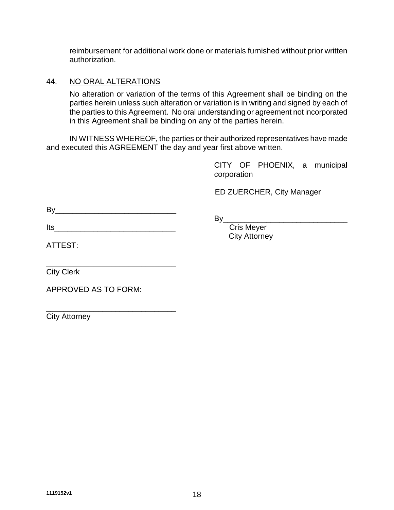reimbursement for additional work done or materials furnished without prior written authorization.

## 44. NO ORAL ALTERATIONS

No alteration or variation of the terms of this Agreement shall be binding on the parties herein unless such alteration or variation is in writing and signed by each of the parties to this Agreement. No oral understanding or agreement not incorporated in this Agreement shall be binding on any of the parties herein.

IN WITNESS WHEREOF, the parties or their authorized representatives have made and executed this AGREEMENT the day and year first above written.

> CITY OF PHOENIX, a municipal corporation

ED ZUERCHER, City Manager

City Attorney

| B |  |  |  |  |
|---|--|--|--|--|
|   |  |  |  |  |

By<br>Cris Mever

 $Its$ 

ATTEST:

\_\_\_\_\_\_\_\_\_\_\_\_\_\_\_\_\_\_\_\_\_\_\_\_\_\_\_\_\_\_ City Clerk

APPROVED AS TO FORM:

\_\_\_\_\_\_\_\_\_\_\_\_\_\_\_\_\_\_\_\_\_\_\_\_\_\_\_\_\_\_ City Attorney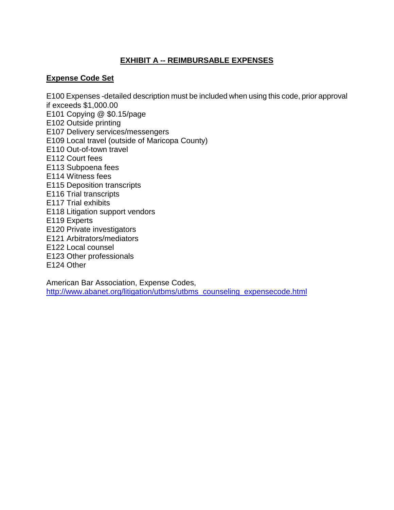# **EXHIBIT A -- REIMBURSABLE EXPENSES**

## **Expense Code Set**

E100 Expenses -detailed description must be included when using this code, prior approval if exceeds \$1,000.00 E101 Copying @ \$0.15/page E102 Outside printing E107 Delivery services/messengers E109 Local travel (outside of Maricopa County) E110 Out-of-town travel E112 Court fees E113 Subpoena fees E114 Witness fees E115 Deposition transcripts E116 Trial transcripts E117 Trial exhibits E118 Litigation support vendors E119 Experts E120 Private investigators E121 Arbitrators/mediators E122 Local counsel

- E123 Other professionals
- E124 Other

American Bar Association, Expense Codes, http://www.abanet.org/litigation/utbms/utbms\_counseling\_expensecode.html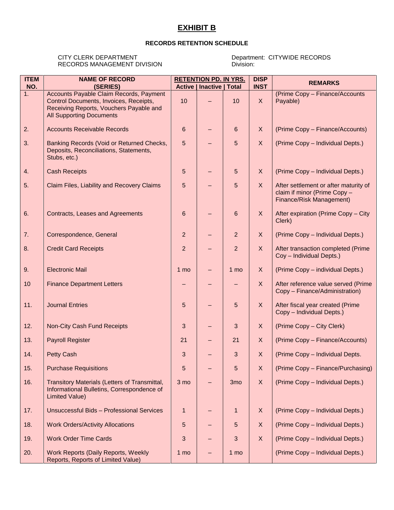# **EXHIBIT B**

#### **RECORDS RETENTION SCHEDULE**

#### CITY CLERK DEPARTMENT<br>
RECORDS MANAGEMENT DIVISION<br>
Division: RECORDS MANAGEMENT DIVISION

| <b>ITEM</b> | <b>NAME OF RECORD</b>                                                                                                                                           |                 | <b>RETENTION PD. IN YRS.</b>     |                 |              | <b>REMARKS</b>                                                                                    |  |  |  |
|-------------|-----------------------------------------------------------------------------------------------------------------------------------------------------------------|-----------------|----------------------------------|-----------------|--------------|---------------------------------------------------------------------------------------------------|--|--|--|
| NO.         | (SERIES)                                                                                                                                                        |                 | <b>Active   Inactive   Total</b> |                 | <b>INST</b>  |                                                                                                   |  |  |  |
| 1.          | Accounts Payable Claim Records, Payment<br>Control Documents, Invoices, Receipts,<br>Receiving Reports, Vouchers Payable and<br><b>All Supporting Documents</b> | 10              |                                  | 10              | $\mathsf{X}$ | (Prime Copy - Finance/Accounts<br>Payable)                                                        |  |  |  |
| 2.          | <b>Accounts Receivable Records</b>                                                                                                                              | 6               | -                                | 6               | $\mathsf{X}$ | (Prime Copy - Finance/Accounts)                                                                   |  |  |  |
| 3.          | Banking Records (Void or Returned Checks,<br>Deposits, Reconciliations, Statements,<br>Stubs, etc.)                                                             | 5               |                                  | 5               | $\mathsf{X}$ | (Prime Copy - Individual Depts.)                                                                  |  |  |  |
| 4.          | <b>Cash Receipts</b>                                                                                                                                            | 5               | -                                | $5\phantom{1}$  | $\mathsf{X}$ | (Prime Copy - Individual Depts.)                                                                  |  |  |  |
| 5.          | Claim Files, Liability and Recovery Claims                                                                                                                      | 5               |                                  | $5\phantom{1}$  | X            | After settlement or after maturity of<br>claim if minor (Prime Copy -<br>Finance/Risk Management) |  |  |  |
| 6.          | Contracts, Leases and Agreements                                                                                                                                | 6               |                                  | 6               | $\mathsf{X}$ | After expiration (Prime Copy - City<br>Clerk)                                                     |  |  |  |
| 7.          | Correspondence, General                                                                                                                                         | $\overline{2}$  | -                                | $\overline{2}$  | X            | (Prime Copy - Individual Depts.)                                                                  |  |  |  |
| 8.          | <b>Credit Card Receipts</b>                                                                                                                                     | $\overline{2}$  | -                                | $\overline{2}$  | X            | After transaction completed (Prime<br>Coy - Individual Depts.)                                    |  |  |  |
| 9.          | <b>Electronic Mail</b>                                                                                                                                          | 1 <sub>mo</sub> | -                                | 1 mo            | X            | (Prime Copy - individual Depts.)                                                                  |  |  |  |
| 10          | <b>Finance Department Letters</b>                                                                                                                               |                 |                                  |                 | X            | After reference value served (Prime<br>Copy - Finance/Administration)                             |  |  |  |
| 11.         | <b>Journal Entries</b>                                                                                                                                          | 5               |                                  | 5               | X            | After fiscal year created (Prime<br>Copy - Individual Depts.)                                     |  |  |  |
| 12.         | Non-City Cash Fund Receipts                                                                                                                                     | 3               | -                                | 3               | X            | (Prime Copy - City Clerk)                                                                         |  |  |  |
| 13.         | <b>Payroll Register</b>                                                                                                                                         | 21              | -                                | 21              | X            | (Prime Copy - Finance/Accounts)                                                                   |  |  |  |
| 14.         | <b>Petty Cash</b>                                                                                                                                               | 3               |                                  | 3               | X            | (Prime Copy - Individual Depts.                                                                   |  |  |  |
| 15.         | <b>Purchase Requisitions</b>                                                                                                                                    | 5               |                                  | 5               | X            | (Prime Copy - Finance/Purchasing)                                                                 |  |  |  |
| 16.         | Transitory Materials (Letters of Transmittal,<br>Informational Bulletins, Correspondence of<br><b>Limited Value)</b>                                            | 3 <sub>mo</sub> |                                  | 3 <sub>mo</sub> | $\mathsf X$  | (Prime Copy - Individual Depts.)                                                                  |  |  |  |
| 17.         | Unsuccessful Bids - Professional Services                                                                                                                       | $\mathbf 1$     | -                                | $\mathbf 1$     | $\mathsf{X}$ | (Prime Copy - Individual Depts.)                                                                  |  |  |  |
| 18.         | <b>Work Orders/Activity Allocations</b>                                                                                                                         | 5               |                                  | 5               | $\mathsf{X}$ | (Prime Copy - Individual Depts.)                                                                  |  |  |  |
| 19.         | <b>Work Order Time Cards</b>                                                                                                                                    | 3               |                                  | 3               | X            | (Prime Copy - Individual Depts.)                                                                  |  |  |  |
| 20.         | Work Reports (Daily Reports, Weekly<br>Reports, Reports of Limited Value)                                                                                       | $1 \text{ mo}$  | -                                | 1 <sub>mo</sub> |              | (Prime Copy - Individual Depts.)                                                                  |  |  |  |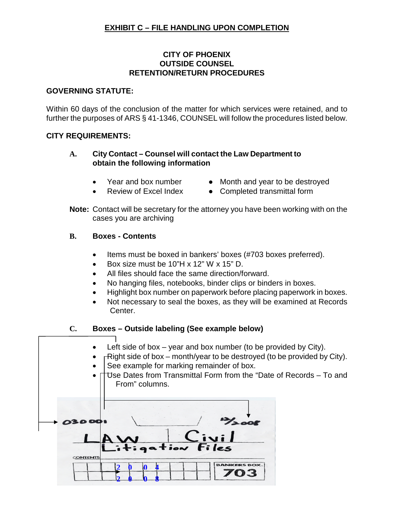# **EXHIBIT C – FILE HANDLING UPON COMPLETION**

#### **CITY OF PHOENIX OUTSIDE COUNSEL RETENTION/RETURN PROCEDURES**

#### **GOVERNING STATUTE:**

Within 60 days of the conclusion of the matter for which services were retained, and to further the purposes of ARS § 41-1346, COUNSEL will follow the procedures listed below.

#### **CITY REQUIREMENTS:**

## **A. City Contact – Counsel will contact the Law Department to obtain the following information**

- 
- Year and box number Month and year to be destroyed
- 
- Review of Excel Index Completed transmittal form
- **Note:** Contact will be secretary for the attorney you have been working with on the cases you are archiving

#### **B. Boxes - Contents**

- Items must be boxed in bankers' boxes (#703 boxes preferred).
- Box size must be  $10"H \times 12"W \times 15"D$ .
- All files should face the same direction/forward.
- No hanging files, notebooks, binder clips or binders in boxes.
- Highlight box number on paperwork before placing paperwork in boxes.
- Not necessary to seal the boxes, as they will be examined at Records Center.

## **C. Boxes – Outside labeling (See example below)**

- Left side of box year and box number (to be provided by City).
- $\Gamma$  Right side of box month/year to be destroyed (to be provided by City).
- See example for marking remainder of box.
- Use Dates from Transmittal Form from the "Date of Records To and From" columns.

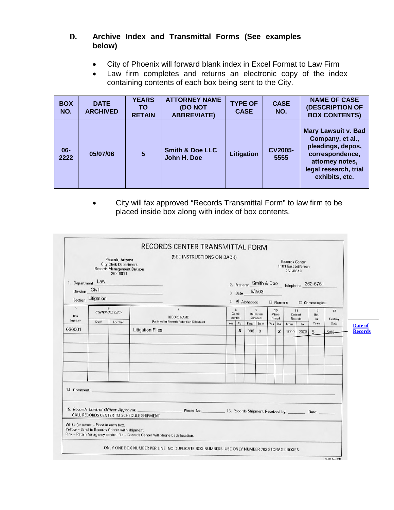# **D. Archive Index and Transmittal Forms (See examples below)**

- City of Phoenix will forward blank index in Excel Format to Law Firm
- Law firm completes and returns an electronic copy of the index containing contents of each box being sent to the City.

| <b>BOX</b><br>NO. | <b>DATE</b><br><b>ARCHIVED</b> | <b>YEARS</b><br>TO.<br><b>RETAIN</b> | <b>ATTORNEY NAME</b><br>(DO NOT<br><b>ABBREVIATE)</b> | <b>TYPE OF</b><br><b>CASE</b> | <b>CASE</b><br>NO.     | <b>NAME OF CASE</b><br><b>(DESCRIPTION OF</b><br><b>BOX CONTENTS)</b>                                                                                |
|-------------------|--------------------------------|--------------------------------------|-------------------------------------------------------|-------------------------------|------------------------|------------------------------------------------------------------------------------------------------------------------------------------------------|
| $06 -$<br>2222    | 05/07/06                       | $5\phantom{.0}$                      | <b>Smith &amp; Doe LLC</b><br>John H. Doe             | Litigation                    | <b>CV2005-</b><br>5555 | <b>Mary Lawsuit v. Bad</b><br>Company, et al.,<br>pleadings, depos,<br>correspondence,<br>attorney notes,<br>legal research, trial<br>exhibits, etc. |

 City will fax approved "Records Transmittal Form" to law firm to be placed inside box along with index of box contents.

| Phoenix, Arizona<br><b>City Clerk Department</b><br>Records Management Division<br>262-6811<br>1. Department Law<br>Division Civil<br>Section_Litigation |                                      | (SEE INSTRUCTIONS ON BACK) | <b>Records Center</b><br>1101 East Jefferson<br>261-8648<br>2. Preparer Smith & Doe<br>Telephone 262-6761<br>5/2/03 |                                              |                        |             |                          |        |                   |               |                      |            |      |                           |
|----------------------------------------------------------------------------------------------------------------------------------------------------------|--------------------------------------|----------------------------|---------------------------------------------------------------------------------------------------------------------|----------------------------------------------|------------------------|-------------|--------------------------|--------|-------------------|---------------|----------------------|------------|------|---------------------------|
|                                                                                                                                                          |                                      |                            |                                                                                                                     | 3. Date<br>4. Ø Alphabetic<br>$\Box$ Numeric |                        |             |                          |        |                   |               | $\Box$ Chronological |            |      |                           |
| 6<br>6<br><b>CENTER USE ONLY</b><br>Box                                                                                                                  | $\overline{7}$<br><b>RECORD NAME</b> |                            | 8<br>$\mathbf{9}$<br>Confi-<br>Retention<br>dential<br>Schedule                                                     |                                              | 10<br>Micro-<br>filmed |             | 11<br>Date of<br>Records |        | 12<br>Ret.<br>in. | 13<br>Destroy |                      |            |      |                           |
| Number<br>030001                                                                                                                                         | Shelf                                | Location                   | (As listed in Records Retention Schedule)<br><b>Litigation Files</b>                                                |                                              | Yes No<br>x            | Page<br>D96 | kem<br>$\,3$             | Yes No | x                 | From<br>1999  | To                   | Years<br>5 | Date | Date of<br><b>Records</b> |
|                                                                                                                                                          |                                      |                            |                                                                                                                     |                                              |                        |             |                          |        |                   |               |                      |            |      |                           |
| 14. Comment:<br>15. Records Control Officer Approval:                                                                                                    |                                      |                            | Phone No. 16. Records Shipment Received by: ________ Date:<br>CALL RECORDS CENTER TO SCHEDULE SHIPMENT              |                                              |                        |             |                          |        |                   |               |                      |            |      |                           |
| White (or xerox) - Place in each box.<br>Yellow - Send to Records Center with shipment.                                                                  |                                      |                            | Pink - Retain for agency control file - Records Center will phone back location.                                    |                                              |                        |             |                          |        |                   |               |                      |            |      |                           |